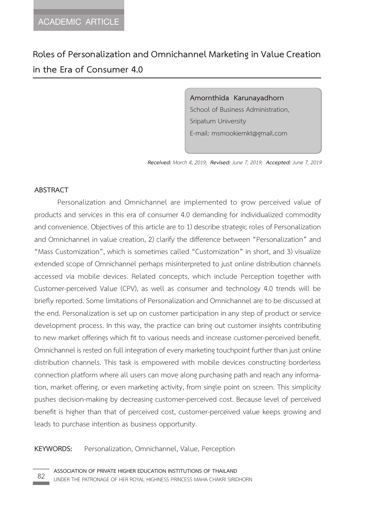# **Roles of Personalization and Omnichannel Marketing in Value Creation in the Era of Consumer 4.0**

**Amornthida Karunayadhorn**  School of Business Administration, Sripatum University E-mail: msmookiemkt@gmail.com

*Received: March 4, 2019; Revised: June 7, 2019; Accepted: June 7, 2019*

#### **ABSTRACT**

Personalization and Omnichannel are implemented to grow perceived value of products and services in this era of consumer 4.0 demanding for individualized commodity and convenience. Objectives of this article are to 1) describe strategic roles of Personalization and Omnichannel in value creation, 2) clarify the difference between "Personalization" and "Mass Customization", which is sometimes called "Customization" in short, and 3) visualize extended scope of Omnichannel perhaps misinterpreted to just online distribution channels accessed via mobile devices. Related concepts, which include Perception together with Customer-perceived Value (CPV), as well as consumer and technology 4.0 trends will be briefly reported. Some limitations of Personalization and Omnichannel are to be discussed at the end. Personalization is set up on customer participation in any step of product or service development process. In this way, the practice can bring out customer insights contributing to new market offerings which fit to various needs and increase customer-perceived benefit. Omnichannel is rested on full integration of every marketing touchpoint further than just online distribution channels. This task is empowered with mobile devices constructing borderless connection platform where all users can move along purchasing path and reach any information, market offering, or even marketing activity, from single point on screen. This simplicity pushes decision-making by decreasing customer-perceived cost. Because level of perceived benefit is higher than that of perceived cost, customer-perceived value keeps growing and leads to purchase intention as business opportunity.

#### **KEYWORDS:** Personalization, Omnichannel, Value, Perception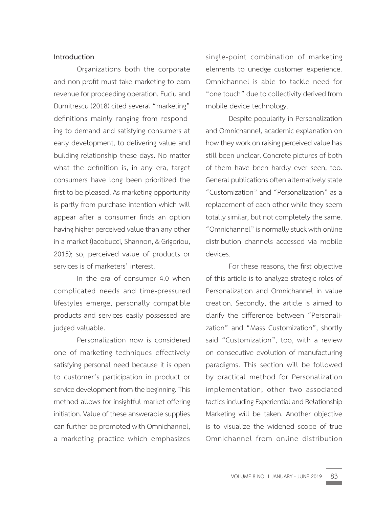# **Introduction**

Organizations both the corporate and non-profit must take marketing to earn revenue for proceeding operation. Fuciu and Dumitrescu (2018) cited several "marketing" definitions mainly ranging from responding to demand and satisfying consumers at early development, to delivering value and building relationship these days. No matter what the definition is, in any era, target consumers have long been prioritized the first to be pleased. As marketing opportunity is partly from purchase intention which will appear after a consumer finds an option having higher perceived value than any other in a market (Iacobucci, Shannon, & Grigoriou, 2015); so, perceived value of products or services is of marketers' interest.

In the era of consumer 4.0 when complicated needs and time-pressured lifestyles emerge, personally compatible products and services easily possessed are judged valuable.

Personalization now is considered one of marketing techniques effectively satisfying personal need because it is open to customer's participation in product or service development from the beginning. This method allows for insightful market offering initiation. Value of these answerable supplies can further be promoted with Omnichannel, a marketing practice which emphasizes

single-point combination of marketing elements to unedge customer experience. Omnichannel is able to tackle need for "one touch" due to collectivity derived from mobile device technology.

Despite popularity in Personalization and Omnichannel, academic explanation on how they work on raising perceived value has still been unclear. Concrete pictures of both of them have been hardly ever seen, too. General publications often alternatively state "Customization" and "Personalization" as a replacement of each other while they seem totally similar, but not completely the same. "Omnichannel" is normally stuck with online distribution channels accessed via mobile devices.

For these reasons, the first objective of this article is to analyze strategic roles of Personalization and Omnichannel in value creation. Secondly, the article is aimed to clarify the difference between "Personalization" and "Mass Customization", shortly said "Customization", too, with a review on consecutive evolution of manufacturing paradigms. This section will be followed by practical method for Personalization implementation; other two associated tactics including Experiential and Relationship Marketing will be taken. Another objective is to visualize the widened scope of true Omnichannel from online distribution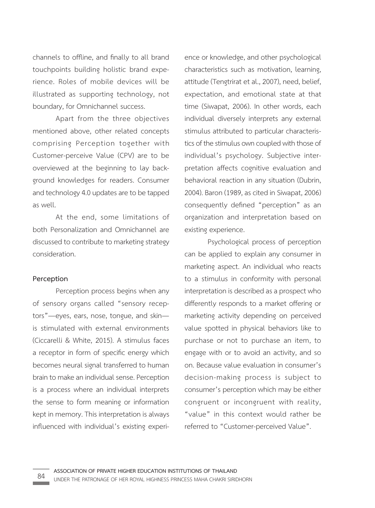channels to offline, and finally to all brand touchpoints building holistic brand experience. Roles of mobile devices will be illustrated as supporting technology, not boundary, for Omnichannel success.

Apart from the three objectives mentioned above, other related concepts comprising Perception together with Customer-perceive Value (CPV) are to be overviewed at the beginning to lay background knowledges for readers. Consumer and technology 4.0 updates are to be tapped as well.

At the end, some limitations of both Personalization and Omnichannel are discussed to contribute to marketing strategy consideration.

# **Perception**

Perception process begins when any of sensory organs called "sensory receptors"—eyes, ears, nose, tongue, and skin is stimulated with external environments (Ciccarelli & White, 2015). A stimulus faces a receptor in form of specific energy which becomes neural signal transferred to human brain to make an individual sense. Perception is a process where an individual interprets the sense to form meaning or information kept in memory. This interpretation is always influenced with individual's existing experience or knowledge, and other psychological characteristics such as motivation, learning, attitude (Tengtrirat et al., 2007), need, belief, expectation, and emotional state at that time (Siwapat, 2006). In other words, each individual diversely interprets any external stimulus attributed to particular characteristics of the stimulus own coupled with those of individual's psychology. Subjective interpretation affects cognitive evaluation and behavioral reaction in any situation (Dubrin, 2004). Baron (1989, as cited in Siwapat, 2006) consequently defined "perception" as an organization and interpretation based on existing experience.

Psychological process of perception can be applied to explain any consumer in marketing aspect. An individual who reacts to a stimulus in conformity with personal interpretation is described as a prospect who differently responds to a market offering or marketing activity depending on perceived value spotted in physical behaviors like to purchase or not to purchase an item, to engage with or to avoid an activity, and so on. Because value evaluation in consumer's decision-making process is subject to consumer's perception which may be either congruent or incongruent with reality, "value" in this context would rather be referred to "Customer-perceived Value".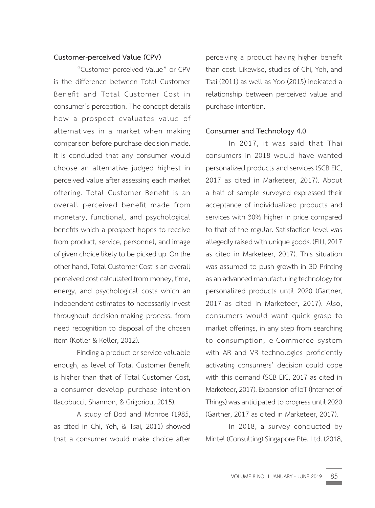# **Customer-perceived Value (CPV)**

"Customer-perceived Value" or CPV is the difference between Total Customer Benefit and Total Customer Cost in consumer's perception. The concept details how a prospect evaluates value of alternatives in a market when making comparison before purchase decision made. It is concluded that any consumer would choose an alternative judged highest in perceived value after assessing each market offering. Total Customer Benefit is an overall perceived benefit made from monetary, functional, and psychological benefits which a prospect hopes to receive from product, service, personnel, and image of given choice likely to be picked up. On the other hand, Total Customer Cost is an overall perceived cost calculated from money, time, energy, and psychological costs which an independent estimates to necessarily invest throughout decision-making process, from need recognition to disposal of the chosen item (Kotler & Keller, 2012).

Finding a product or service valuable enough, as level of Total Customer Benefit is higher than that of Total Customer Cost, a consumer develop purchase intention (Iacobucci, Shannon, & Grigoriou, 2015).

A study of Dod and Monroe (1985, as cited in Chi, Yeh, & Tsai, 2011) showed that a consumer would make choice after

perceiving a product having higher benefit than cost. Likewise, studies of Chi, Yeh, and Tsai (2011) as well as Yoo (2015) indicated a relationship between perceived value and purchase intention.

#### **Consumer and Technology 4.0**

In 2017, it was said that Thai consumers in 2018 would have wanted personalized products and services (SCB EIC, 2017 as cited in Marketeer, 2017). About a half of sample surveyed expressed their acceptance of individualized products and services with 30% higher in price compared to that of the regular. Satisfaction level was allegedly raised with unique goods. (EIU, 2017 as cited in Marketeer, 2017). This situation was assumed to push growth in 3D Printing as an advanced manufacturing technology for personalized products until 2020 (Gartner, 2017 as cited in Marketeer, 2017). Also, consumers would want quick grasp to market offerings, in any step from searching to consumption; e-Commerce system with AR and VR technologies proficiently activating consumers' decision could cope with this demand (SCB EIC, 2017 as cited in Marketeer, 2017). Expansion of IoT (Internet of Things) was anticipated to progress until 2020 (Gartner, 2017 as cited in Marketeer, 2017).

In 2018, a survey conducted by Mintel (Consulting) Singapore Pte. Ltd. (2018,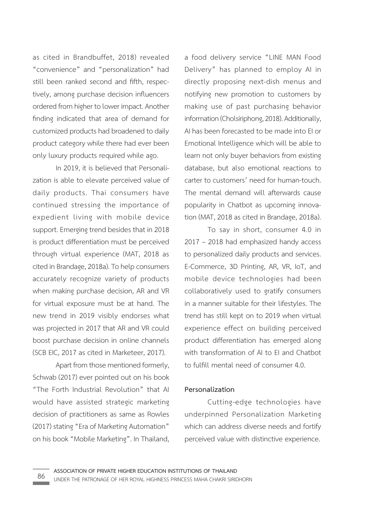as cited in Brandbuffet, 2018) revealed "convenience" and "personalization" had still been ranked second and fifth, respectively, among purchase decision influencers ordered from higher to lower impact. Another finding indicated that area of demand for customized products had broadened to daily product category while there had ever been only luxury products required while ago.

In 2019, it is believed that Personalization is able to elevate perceived value of daily products. Thai consumers have continued stressing the importance of expedient living with mobile device support. Emerging trend besides that in 2018 is product differentiation must be perceived through virtual experience (MAT, 2018 as cited in Brandage, 2018a). To help consumers accurately recognize variety of products when making purchase decision, AR and VR for virtual exposure must be at hand. The new trend in 2019 visibly endorses what was projected in 2017 that AR and VR could boost purchase decision in online channels (SCB EIC, 2017 as cited in Marketeer, 2017).

Apart from those mentioned formerly, Schwab (2017) ever pointed out on his book "The Forth Industrial Revolution" that AI would have assisted strategic marketing decision of practitioners as same as Rowles (2017) stating "Era of Marketing Automation" on his book "Mobile Marketing". In Thailand, a food delivery service "LINE MAN Food Delivery" has planned to employ AI in directly proposing next-dish menus and notifying new promotion to customers by making use of past purchasing behavior information (Cholsiriphong, 2018). Additionally, AI has been forecasted to be made into EI or Emotional Intelligence which will be able to learn not only buyer behaviors from existing database, but also emotional reactions to carter to customers' need for human-touch. The mental demand will afterwards cause popularity in Chatbot as upcoming innovation (MAT, 2018 as cited in Brandage, 2018a).

To say in short, consumer 4.0 in 2017 – 2018 had emphasized handy access to personalized daily products and services. E-Commerce, 3D Printing, AR, VR, IoT, and mobile device technologies had been collaboratively used to gratify consumers in a manner suitable for their lifestyles. The trend has still kept on to 2019 when virtual experience effect on building perceived product differentiation has emerged along with transformation of AI to EI and Chatbot to fulfill mental need of consumer 4.0.

# **Personalization**

Cutting-edge technologies have underpinned Personalization Marketing which can address diverse needs and fortify perceived value with distinctive experience.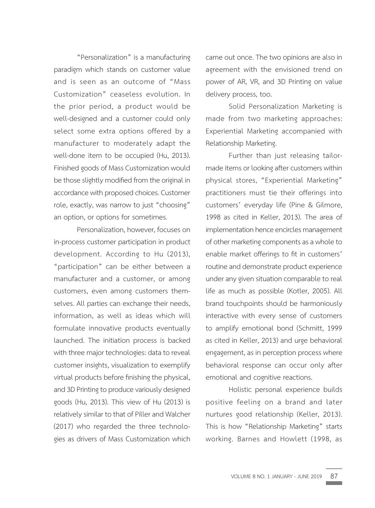"Personalization" is a manufacturing paradigm which stands on customer value and is seen as an outcome of "Mass Customization" ceaseless evolution. In the prior period, a product would be well-designed and a customer could only select some extra options offered by a manufacturer to moderately adapt the well-done item to be occupied (Hu, 2013). Finished goods of Mass Customization would be those slightly modified from the original in accordance with proposed choices. Customer role, exactly, was narrow to just "choosing" an option, or options for sometimes.

Personalization, however, focuses on in-process customer participation in product development. According to Hu (2013), "participation" can be either between a manufacturer and a customer, or among customers, even among customers themselves. All parties can exchange their needs, information, as well as ideas which will formulate innovative products eventually launched. The initiation process is backed with three major technologies: data to reveal customer insights, visualization to exemplify virtual products before finishing the physical, and 3D Printing to produce variously designed goods (Hu, 2013). This view of Hu (2013) is relatively similar to that of Piller and Walcher (2017) who regarded the three technologies as drivers of Mass Customization which

came out once. The two opinions are also in agreement with the envisioned trend on power of AR, VR, and 3D Printing on value delivery process, too.

Solid Personalization Marketing is made from two marketing approaches: Experiential Marketing accompanied with Relationship Marketing.

Further than just releasing tailormade items or looking after customers within physical stores, "Experiential Marketing" practitioners must tie their offerings into customers' everyday life (Pine & Gilmore, 1998 as cited in Keller, 2013). The area of implementation hence encircles management of other marketing components as a whole to enable market offerings to fit in customers' routine and demonstrate product experience under any given situation comparable to real life as much as possible (Kotler, 2005). All brand touchpoints should be harmoniously interactive with every sense of customers to amplify emotional bond (Schmitt, 1999 as cited in Keller, 2013) and urge behavioral engagement, as in perception process where behavioral response can occur only after emotional and cognitive reactions.

Holistic personal experience builds positive feeling on a brand and later nurtures good relationship (Keller, 2013). This is how "Relationship Marketing" starts working. Barnes and Howlett (1998, as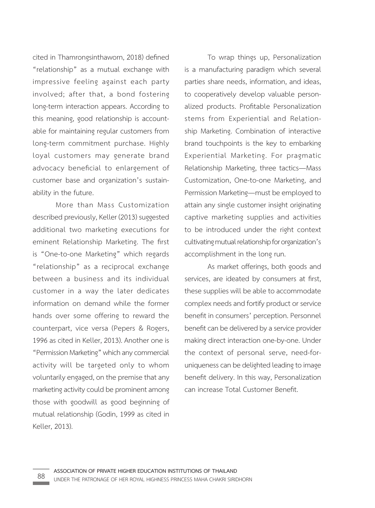cited in Thamrongsinthaworn, 2018) defined "relationship" as a mutual exchange with impressive feeling against each party involved; after that, a bond fostering long-term interaction appears. According to this meaning, good relationship is accountable for maintaining regular customers from long-term commitment purchase. Highly loyal customers may generate brand advocacy beneficial to enlargement of customer base and organization's sustainability in the future.

More than Mass Customization described previously, Keller (2013) suggested additional two marketing executions for eminent Relationship Marketing. The first is "One-to-one Marketing" which regards "relationship" as a reciprocal exchange between a business and its individual customer in a way the later dedicates information on demand while the former hands over some offering to reward the counterpart, vice versa (Pepers & Rogers, 1996 as cited in Keller, 2013). Another one is "Permission Marketing" which any commercial activity will be targeted only to whom voluntarily engaged, on the premise that any marketing activity could be prominent among those with goodwill as good beginning of mutual relationship (Godin, 1999 as cited in Keller, 2013).

To wrap things up, Personalization is a manufacturing paradigm which several parties share needs, information, and ideas, to cooperatively develop valuable personalized products. Profitable Personalization stems from Experiential and Relationship Marketing. Combination of interactive brand touchpoints is the key to embarking Experiential Marketing. For pragmatic Relationship Marketing, three tactics—Mass Customization, One-to-one Marketing, and Permission Marketing—must be employed to attain any single customer insight originating captive marketing supplies and activities to be introduced under the right context cultivating mutual relationship for organization's accomplishment in the long run.

As market offerings, both goods and services, are ideated by consumers at first, these supplies will be able to accommodate complex needs and fortify product or service benefit in consumers' perception. Personnel benefit can be delivered by a service provider making direct interaction one-by-one. Under the context of personal serve, need-foruniqueness can be delighted leading to image benefit delivery. In this way, Personalization can increase Total Customer Benefit.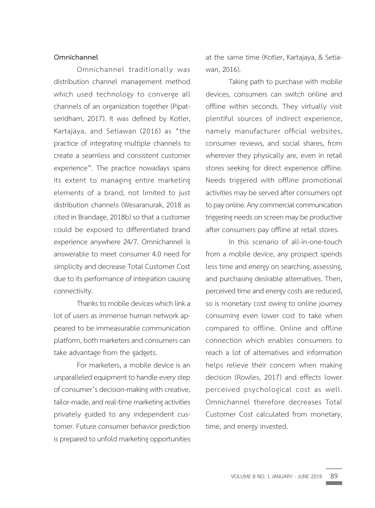# **Omnichannel**

Omnichannel traditionally was distribution channel management method which used technology to converge all channels of an organization together (Pipatseridham, 2017). It was defined by Kotler, Kartajaya, and Setiawan (2016) as "the practice of integrating multiple channels to create a seamless and consistent customer experience". The practice nowadays spans its extent to managing entire marketing elements of a brand, not limited to just distribution channels (Wesaranurak, 2018 as cited in Brandage, 2018b) so that a customer could be exposed to differentiated brand experience anywhere 24/7. Omnichannel is answerable to meet consumer 4.0 need for simplicity and decrease Total Customer Cost due to its performance of integration causing connectivity.

Thanks to mobile devices which link a lot of users as immense human network appeared to be immeasurable communication platform, both marketers and consumers can take advantage from the gadgets.

For marketers, a mobile device is an unparalleled equipment to handle every step of consumer's decision-making with creative, tailor-made, and real-time marketing activities privately guided to any independent customer. Future consumer behavior prediction is prepared to unfold marketing opportunities

at the same time (Kotler, Kartajaya, & Setiawan, 2016).

Taking path to purchase with mobile devices, consumers can switch online and offline within seconds. They virtually visit plentiful sources of indirect experience, namely manufacturer official websites, consumer reviews, and social shares, from wherever they physically are, even in retail stores seeking for direct experience offline. Needs triggered with offline promotional activities may be served after consumers opt to pay online. Any commercial communication triggering needs on screen may be productive after consumers pay offline at retail stores.

In this scenario of all-in-one-touch from a mobile device, any prospect spends less time and energy on searching, assessing, and purchasing desirable alternatives. Then, perceived time and energy costs are reduced, so is monetary cost owing to online journey consuming even lower cost to take when compared to offline. Online and offline connection which enables consumers to reach a lot of alternatives and information helps relieve their concern when making decision (Rowles, 2017) and effects lower perceived psychological cost as well. Omnichannel therefore decreases Total Customer Cost calculated from monetary, time, and energy invested.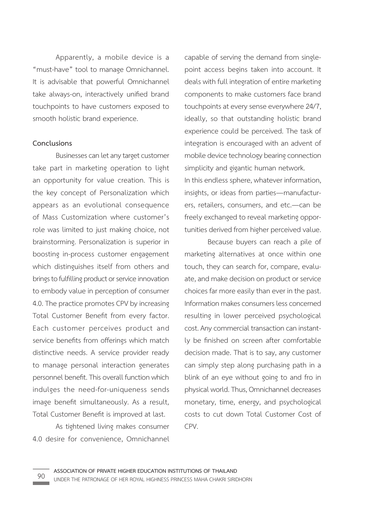Apparently, a mobile device is a "must-have" tool to manage Omnichannel. It is advisable that powerful Omnichannel take always-on, interactively unified brand touchpoints to have customers exposed to smooth holistic brand experience.

#### **Conclusions**

Businesses can let any target customer take part in marketing operation to light an opportunity for value creation. This is the key concept of Personalization which appears as an evolutional consequence of Mass Customization where customer's role was limited to just making choice, not brainstorming. Personalization is superior in boosting in-process customer engagement which distinguishes itself from others and brings to fulfilling product or service innovation to embody value in perception of consumer 4.0. The practice promotes CPV by increasing Total Customer Benefit from every factor. Each customer perceives product and service benefits from offerings which match distinctive needs. A service provider ready to manage personal interaction generates personnel benefit. This overall function which indulges the need-for-uniqueness sends image benefit simultaneously. As a result, Total Customer Benefit is improved at last.

As tightened living makes consumer 4.0 desire for convenience, Omnichannel

capable of serving the demand from singlepoint access begins taken into account. It deals with full integration of entire marketing components to make customers face brand touchpoints at every sense everywhere 24/7, ideally, so that outstanding holistic brand experience could be perceived. The task of integration is encouraged with an advent of mobile device technology bearing connection simplicity and gigantic human network. In this endless sphere, whatever information, insights, or ideas from parties—manufacturers, retailers, consumers, and etc.—can be freely exchanged to reveal marketing opportunities derived from higher perceived value.

Because buyers can reach a pile of marketing alternatives at once within one touch, they can search for, compare, evaluate, and make decision on product or service choices far more easily than ever in the past. Information makes consumers less concerned resulting in lower perceived psychological cost. Any commercial transaction can instantly be finished on screen after comfortable decision made. That is to say, any customer can simply step along purchasing path in a blink of an eye without going to and fro in physical world. Thus, Omnichannel decreases monetary, time, energy, and psychological costs to cut down Total Customer Cost of CPV.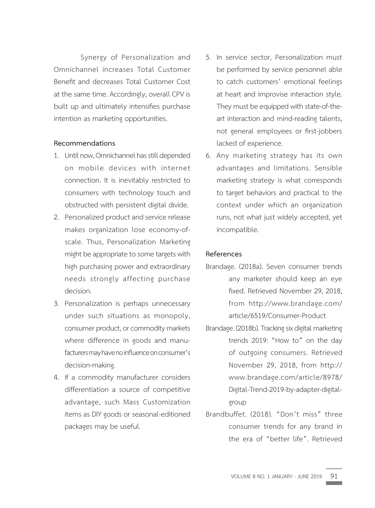Synergy of Personalization and Omnichannel increases Total Customer Benefit and decreases Total Customer Cost at the same time. Accordingly, overall CPV is built up and ultimately intensifies purchase intention as marketing opportunities.

# **Recommendations**

- 1. Until now, Omnichannel has still depended on mobile devices with internet connection. It is inevitably restricted to consumers with technology touch and obstructed with persistent digital divide.
- 2. Personalized product and service release makes organization lose economy-ofscale. Thus, Personalization Marketing might be appropriate to some targets with high purchasing power and extraordinary needs strongly affecting purchase decision.
- 3. Personalization is perhaps unnecessary under such situations as monopoly, consumer product, or commodity markets where difference in goods and manufacturers may have no influence on consumer's decision-making.
- 4. If a commodity manufacturer considers differentiation a source of competitive advantage, such Mass Customization items as DIY goods or seasonal-editioned packages may be useful.
- 5. In service sector, Personalization must be performed by service personnel able to catch customers' emotional feelings at heart and improvise interaction style. They must be equipped with state-of-theart interaction and mind-reading talents, not general employees or first-jobbers lacked of experience.
- 6. Any marketing strategy has its own advantages and limitations. Sensible marketing strategy is what corresponds to target behaviors and practical to the context under which an organization runs, not what just widely accepted, yet incompatible.

# **References**

- Brandage. (2018a). Seven consumer trends any marketer should keep an eye fixed. Retrieved November 29, 2018, from http://www.brandage.com/ article/6519/Consumer-Product
- Brandage. (2018b). Tracking six digital marketing trends 2019: "How to" on the day of outgoing consumers. Retrieved November 29, 2018, from http:// www.brandage.com/article/8978/ Digital-Trend-2019-by-adapter-digitalgroup
- Brandbuffet. (2018). "Don't miss" three consumer trends for any brand in the era of "better life". Retrieved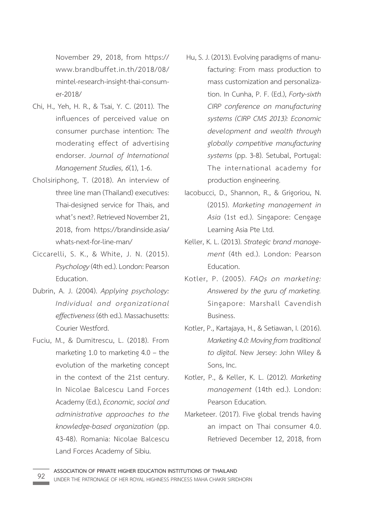November 29, 2018, from https:// www.brandbuffet.in.th/2018/08/ mintel-research-insight-thai-consumer-2018/

- Chi, H., Yeh, H. R., & Tsai, Y. C. (2011). The influences of perceived value on consumer purchase intention: The moderating effect of advertising endorser. *Journal of International Management Studies, 6*(1), 1-6.
- Cholsiriphong, T. (2018). An interview of three line man (Thailand) executives: Thai-designed service for Thais, and what's next?. Retrieved November 21, 2018, from https://brandinside.asia/ whats-next-for-line-man/
- Ciccarelli, S. K., & White, J. N. (2015). *Psychology* (4th ed.). London: Pearson Education.
- Dubrin, A. J. (2004). *Applying psychology: Individual and organizational effectiveness* (6th ed.). Massachusetts: Courier Westford.
- Fuciu, M., & Dumitrescu, L. (2018). From marketing 1.0 to marketing 4.0 – the evolution of the marketing concept in the context of the 21st century. In Nicolae Balcescu Land Forces Academy (Ed.), *Economic, social and administrative approaches to the knowledge-based organization* (pp. 43-48). Romania: Nicolae Balcescu Land Forces Academy of Sibiu.
- Hu, S. J. (2013). Evolving paradigms of manufacturing: From mass production to mass customization and personalization. In Cunha, P. F. (Ed.), *Forty-sixth CIRP conference on manufacturing systems (CIRP CMS 2013): Economic development and wealth through globally competitive manufacturing systems* (pp. 3-8). Setubal, Portugal: The international academy for production engineering.
- Iacobucci, D., Shannon, R., & Grigoriou, N. (2015). *Marketing management in Asia* (1st ed.). Singapore: Cengage Learning Asia Pte Ltd.
- Keller, K. L. (2013). *Strategic brand management* (4th ed.). London: Pearson Education.
- Kotler, P. (2005). *FAQs on marketing: Answered by the guru of marketing.* Singapore: Marshall Cavendish Business.
- Kotler, P., Kartajaya, H., & Setiawan, I. (2016). *Marketing 4.0: Moving from traditional to digital.* New Jersey: John Wiley & Sons, Inc.
- Kotler, P., & Keller, K. L. (2012). *Marketing management* (14th ed.). London: Pearson Education.
- Marketeer. (2017). Five global trends having an impact on Thai consumer 4.0. Retrieved December 12, 2018, from